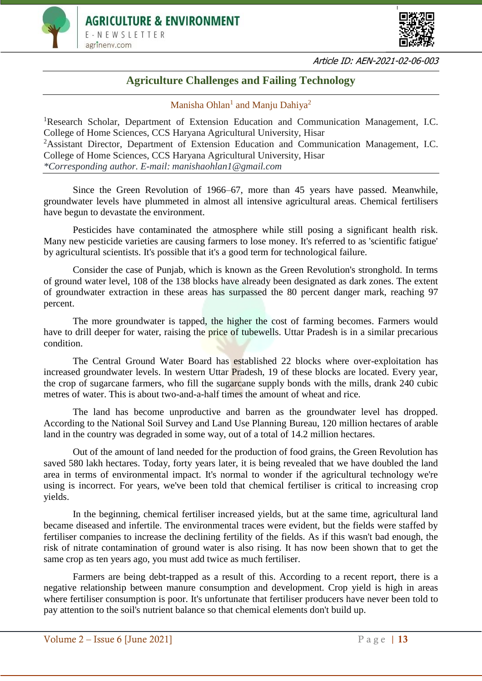



## **Agriculture Challenges and Failing Technology**

Manisha Ohlan<sup>1</sup> and Manju Dahiya<sup>2</sup>

<sup>1</sup>Research Scholar, Department of Extension Education and Communication Management, I.C. College of Home Sciences, CCS Haryana Agricultural University, Hisar <sup>2</sup>Assistant Director, Department of Extension Education and Communication Management, I.C. College of Home Sciences, CCS Haryana Agricultural University, Hisar *\*Corresponding author. E-mail: manishaohlan1@gmail.com*

Since the Green Revolution of 1966–67, more than 45 years have passed. Meanwhile, groundwater levels have plummeted in almost all intensive agricultural areas. Chemical fertilisers have begun to devastate the environment.

Pesticides have contaminated the atmosphere while still posing a significant health risk. Many new pesticide varieties are causing farmers to lose money. It's referred to as 'scientific fatigue' by agricultural scientists. It's possible that it's a good term for technological failure.

Consider the case of Punjab, which is known as the Green Revolution's stronghold. In terms of ground water level, 108 of the 138 blocks have already been designated as dark zones. The extent of groundwater extraction in these areas has surpassed the 80 percent danger mark, reaching 97 percent.

The more groundwater is tapped, the higher the cost of farming becomes. Farmers would have to drill deeper for water, raising the **price** of tubewells. Uttar Pradesh is in a similar precarious condition.

The Central Ground Water Board has established 22 blocks where over-exploitation has increased groundwater levels. In western Uttar Pradesh, 19 of these blocks are located. Every year, the crop of sugarcane farmers, who fill the sugarcane supply bonds with the mills, drank 240 cubic metres of water. This is about two-and-a-half times the amount of wheat and rice.

The land has become unproductive and barren as the groundwater level has dropped. According to the National Soil Survey and Land Use Planning Bureau, 120 million hectares of arable land in the country was degraded in some way, out of a total of 14.2 million hectares.

Out of the amount of land needed for the production of food grains, the Green Revolution has saved 580 lakh hectares. Today, forty years later, it is being revealed that we have doubled the land area in terms of environmental impact. It's normal to wonder if the agricultural technology we're using is incorrect. For years, we've been told that chemical fertiliser is critical to increasing crop yields.

In the beginning, chemical fertiliser increased yields, but at the same time, agricultural land became diseased and infertile. The environmental traces were evident, but the fields were staffed by fertiliser companies to increase the declining fertility of the fields. As if this wasn't bad enough, the risk of nitrate contamination of ground water is also rising. It has now been shown that to get the same crop as ten years ago, you must add twice as much fertiliser.

Farmers are being debt-trapped as a result of this. According to a recent report, there is a negative relationship between manure consumption and development. Crop yield is high in areas where fertiliser consumption is poor. It's unfortunate that fertiliser producers have never been told to pay attention to the soil's nutrient balance so that chemical elements don't build up.